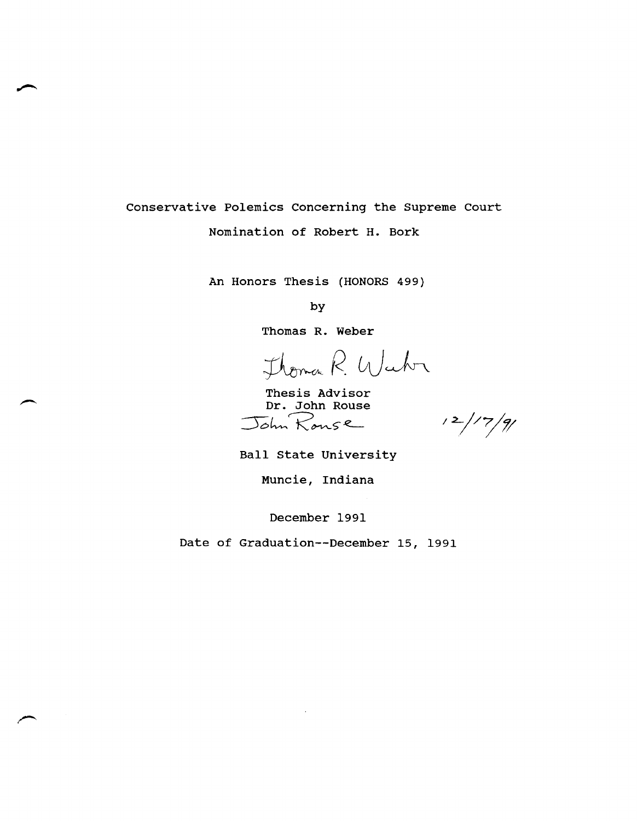Conservative Polemics Concerning the Supreme Court Nomination of Robert H. Bork

An Honors Thesis (HONORS 499)

by

Thomas R. Weber

Thomas R. Week

Thesis Advisor Dr. John Rouse John Rouse

 $12/7/9/$ 

Ball State University

Muncie, Indiana

December 1991

Date of Graduation--December 15, 1991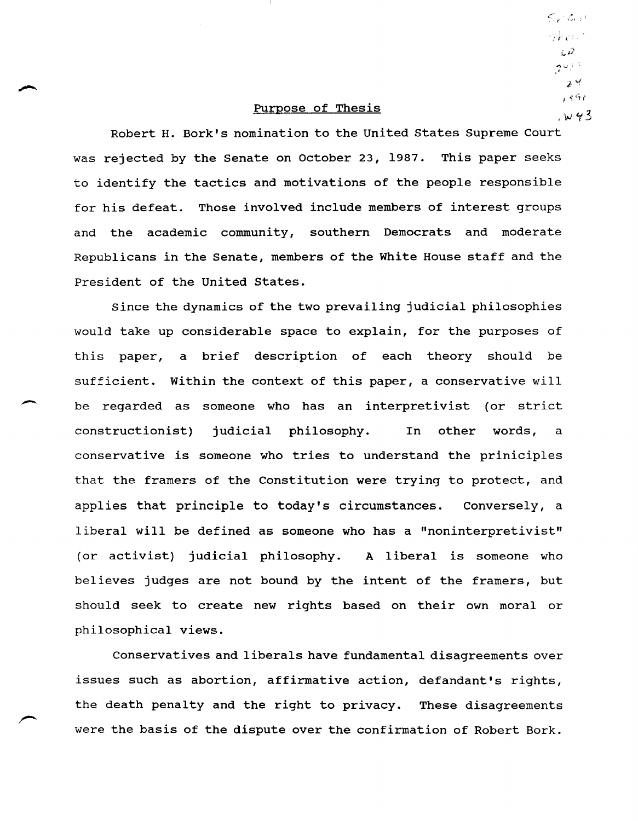## Purpose of Thesis

Robert H. Bork's nomination to the united states Supreme Court was rejected by the Senate on October 23, 1987. This paper seeks to identify the tactics and motivations of the people responsible for his defeat. Those involved include members of interest groups and the academic community, southern Democrats and moderate Republicans in the Senate, members of the White House staff and the President of the united states.

Since the dynamics of the two prevailing judicial philosophies would take up considerable space to explain, for the purposes of this paper, a brief description of each theory should be sufficient. within the context of this paper, a conservative will be regarded as someone who has an interpretivist (or strict constructionist) judicial philosophy. In other words, a conservative is someone who tries to understand the priniciples that the framers of the Constitution were trying to protect, and applies that principle to today's circumstances. Conversely, a liberal will be defined as someone who has a "noninterpretivist" (or activist) judicial philosophy. A liberal is someone who believes judges are not bound by the intent of the framers, but should seek to create new rights based on their own moral or philosophical views.

Conservatives and liberals have fundamental disagreements over issues such as abortion, affirmative action, defandant's rights, the death penalty and the right to privacy. These disagreements were the basis of the dispute over the confirmation of Robert Bork.

 $x$   $4$  $156$  $W43$ 

 $\leqslant_{r'} c_{r'}$ กรมีการ เก  $\epsilon P$ كالوجهوم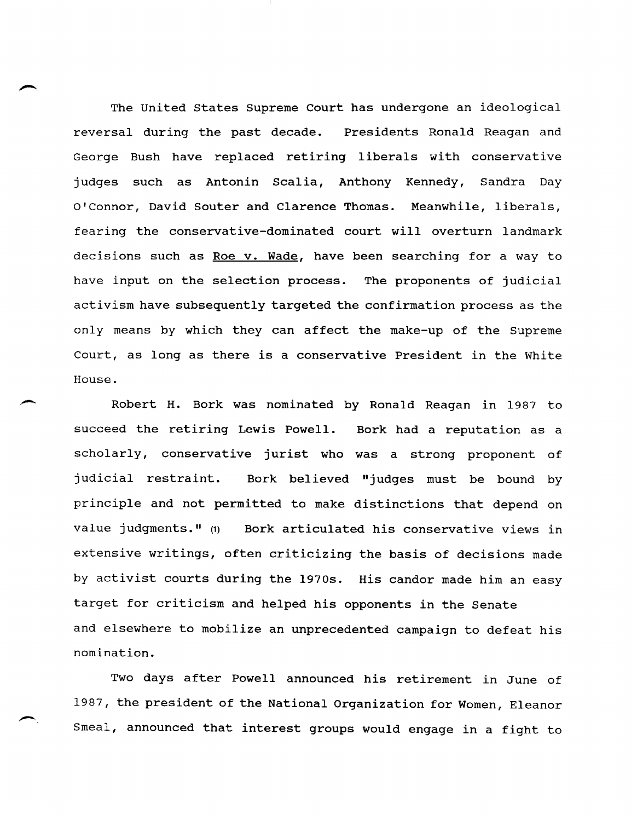The United States Supreme Court has undergone an ideological reversal during the past decade. Presidents Ronald Reagan and George Bush have replaced retiring liberals with conservative judges such as Antonin Scalia, Anthony Kennedy, Sandra Day O'Connor, David Souter and Clarence Thomas. Meanwhile, liberals, fearing the conservative-dominated court will overturn landmark decisions such as Roe v. Wade, have been searching for a way to have input on the selection process. The proponents of judicial activism have subsequently targeted the confirmation process as the only means by which they can affect the make-up of the Supreme Court, as long as there is a conservative President in the White House.

Robert H. Bork was nominated by Ronald Reagan in 1987 to succeed the retiring Lewis Powell. Bork had a reputation as a scholarly, conservative jurist who was a strong proponent of judicial restraint. Bork believed "judges must be bound by principle and not permitted to make distinctions that depend on value judgments." (1) Bork articulated his conservative views in extensive writings, often criticizing the basis of decisions made by activist courts during the 1970s. His candor made him an easy target for criticism and helped his opponents in the Senate and elsewhere to mobilize an unprecedented campaign to defeat his nomination.

Two days after Powell announced his retirement in June of 1987, the president of the National Organization for Women, Eleanor Smeal, announced that interest groups would engage in a fight to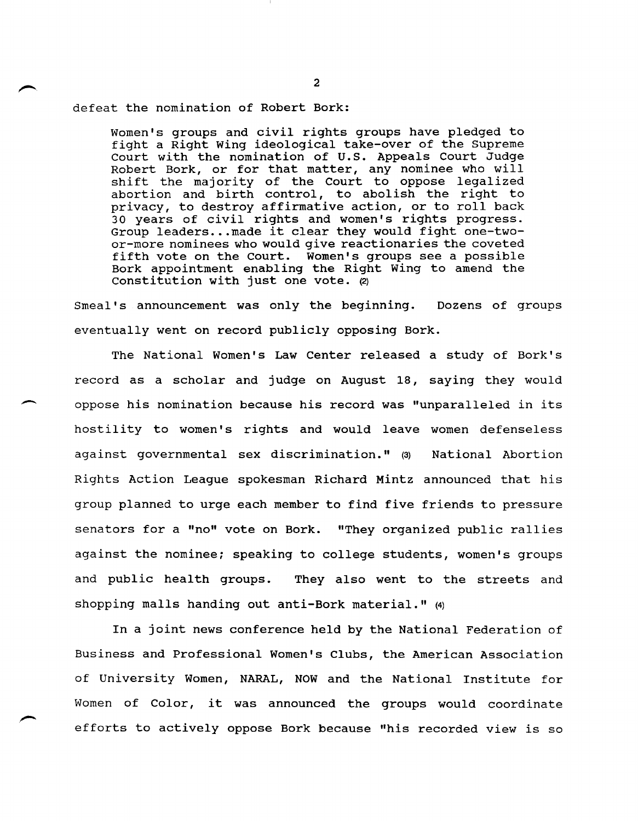defeat the nomination of Robert Bork:

 $\overline{\phantom{a}}$ 

Women's groups and civil rights groups have pledged to fight a Right wing ideological take-over of the Supreme Court with the nomination of u.s. Appeals Court Judge Robert Bork, or for that matter, any nominee who will shift the majority of the Court to oppose legalized abortion and birth control, to abolish the right to privacy, to destroy affirmative action, or to roll back 30 years of civil rights and women's rights progress. Group leaders ... made it clear they would fight one-twoor-more nominees who would give reactionaries the coveted fifth vote on the Court. Women's groups see a possible Bork appointment enabling the Right Wing to amend the Constitution with just one vote.  $(2)$ 

Smeal's announcement was only the beginning. Dozens of groups eventually went on record publicly opposing Bork.

The National Women's Law Center released a study of Bork's record as a scholar and judge on August 18, saying they would oppose his nomination because his record was "unparalleled in its hostility to women's rights and would leave women defenseless against governmental sex discrimination." (3) National Abortion Rights Action League spokesman Richard Mintz announced that his group planned to urge each member to find five friends to pressure senators for a "no" vote on Bork. "They organized public rallies against the nominee; speaking to college students, women's groups and public health groups. They also went to the streets and shopping malls handing out anti-Bork material." (4)

In a joint news conference held by the National Federation of Business and Professional Women's Clubs, the American Association of University Women, NARAL, NOW and the National Institute for Women of Color, it was announced the groups would coordinate efforts to actively oppose Bork because "his recorded view is so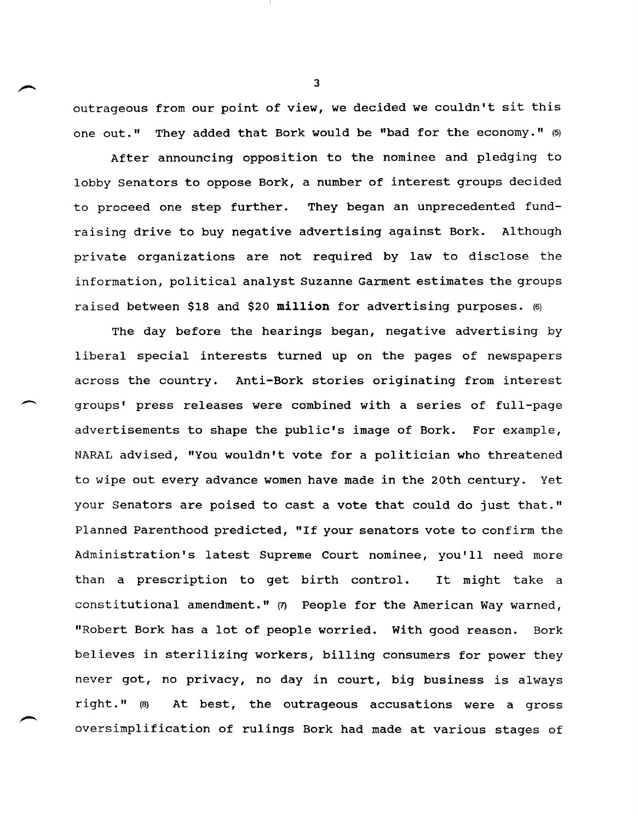outrageous from our point of view, we decided we couldn't sit this one out." They added that Bork would be "bad for the economy." (5)

After announcing opposition to the nominee and pledging to lobby Senators to oppose Bork, a number of interest groups decided to proceed one step further. They began an unprecedented fundraising drive to buy negative advertising against Bork. Although private organizations are not required by law to disclose the information, political analyst Suzanne Garment estimates the groups raised between \$18 and \$20 **million** for advertising purposes. (6)

The day before the hearings began, negative advertising by liberal special interests turned up on the pages of newspapers across the country. Anti-Bork stories originating from interest groups' press releases were combined with a series of full-page advertisements to shape the public's image of Bork. For example, NARAL advised, "You wouldn't vote for a politician who threatened to wipe out every advance women have made in the 20th century. Yet your Senators are poised to cast a vote that could do just that." Planned Parenthood predicted, "If your senators vote to confirm the Administration's latest Supreme Court nominee, you'll need more than a prescription to get birth control. It might take a constitutional amendment." (7) People for the American Way warned, "Robert Bork has a lot of people worried. with good reason. Bork believes in sterilizing workers, billing consumers for power they never got, no privacy, no day in court, big business is always right. "(8) At best, the outrageous accusations were a gross oversimplification of rulings Bork had made at various stages of

 $\overline{\phantom{a}}$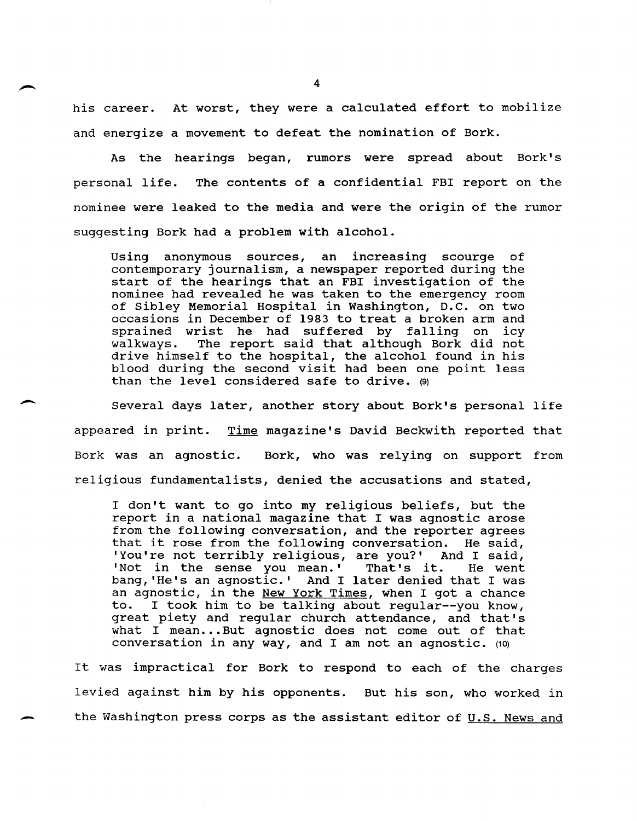his career. At worst, they were a calculated effort to mobilize and energize a movement to defeat the nomination of Bork.

As the hearings began, rumors were spread about Bork's personal life. The contents of a confidential FBI report on the nominee were leaked to the media and were the origin of the rumor suggesting Bork had a problem with alcohol.

Using anonymous sources, an increasing scourge of contemporary journalism, a newspaper reported during the start of the hearings that an FBI investigation of the nominee had revealed he was taken to the emergency room of Sibley Memorial Hospital in Washington, D.C. on two occasions in December of 1983 to treat a broken arm and sprained wrist he had suffered by falling on icy<br>walkways. The report said that although Bork did not The report said that although Bork did not drive himself to the hospital, the alcohol found in his blood during the second visit had been one point less than the level considered safe to drive. (9)

Several days later, another story about Bork's personal life appeared in print. Time magazine's David Beckwith reported that Bork was an agnostic. Bork, who was relying on support from religious fundamentalists, denied the accusations and stated,

 $\overline{\phantom{a}}$ 

I don't want to go into my religious beliefs, but the report in a national magazine that I was agnostic arose from the following conversation, and the reporter agrees that it rose from the following conversation. He said, that it rose from the following conversation. He said,<br>'You're not terribly religious, are you?' And I said, 'You're not terribly religious, are you?' And I said,<br>'Not in the sense you mean.' That's it. He went 'Not in the sense you mean.' bang, 'He's an agnostic.' And I later denied that I was an agnostic, in the New York Times, when I got a chance I took him to be talking about regular--you know, great piety and regular church attendance, and that's what I mean... But agnostic does not come out of that conversation in any way, and I am not an agnostic. (10)

It was impractical for Bork to respond to each of the charges levied against him by his opponents. But his son, who worked in the Washington press corps as the assistant editor of  $U.S.$  News and</u>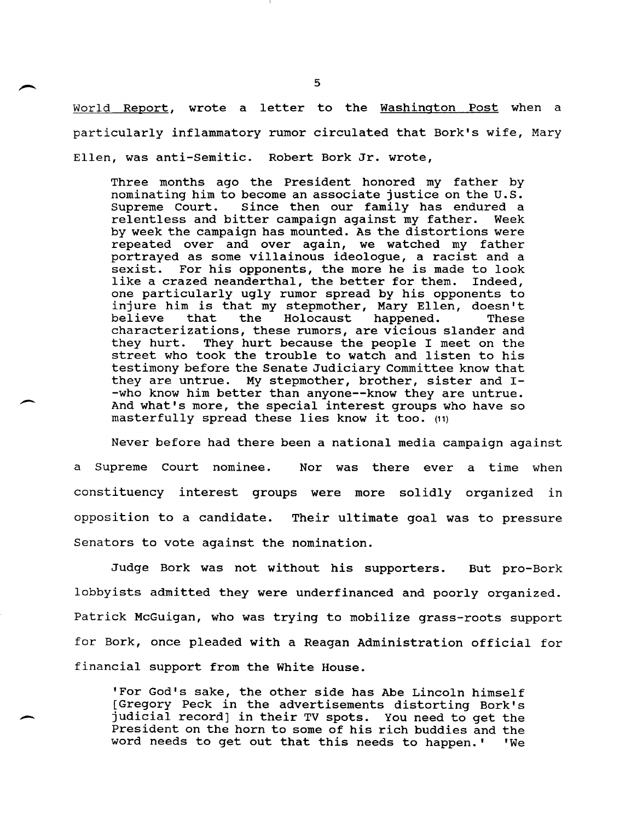World Report, wrote a letter to the Washington Post when a particularly inflammatory rumor circulated that Bork's wife, Mary Ellen, was anti-semitic. Robert Bork Jr. wrote,

Three months ago the President honored my father by nominating him to become an associate justice on the U.S.<br>Supreme Court. Since then our family has endured a Since then our family has endured a relentless and bitter campaign against my father. Week by week the campaign has mounted. As the distortions were repeated over and over again, we watched my father portrayed as some villainous ideologue, a racist and a<br>sexist. For his opponents, the more he is made to look For his opponents, the more he is made to look<br>azed neanderthal, the better for them. Indeed, like a crazed neanderthal, the better for them. one particularly ugly rumor spread by his opponents to injure him is that my stepmother, Mary Ellen, doesn't mights him is endo my seepmeensi, hary firem, deepn c believe that the Holocaust happened. These<br>characterizations, these rumors, are vicious slander and<br>they hurt. They hurt because the people I meet on the They hurt because the people I meet on the street who took the trouble to watch and listen to his testimony before the Senate Judiciary Committee know that they are untrue. My stepmother, brother, sister and I- -who know him better than anyone--know they are untrue. And what's more, the special interest groups who have so masterfully spread these lies know it too. (11)

Never before had there been a national media campaign against a Supreme Court nominee. Nor was there ever a time when constituency interest groups were more solidly organized in opposition to a candidate. Their ultimate goal was to pressure Senators to vote against the nomination.

Judge Bork was not without his supporters. But pro-Bork lobbyists admitted they were underfinanced and poorly organized. Patrick McGuigan, who was trying to mobilize grass-roots support for Bork, once pleaded with a Reagan Administration official for financial support from the White House.

'For God's sake, the other side has Abe Lincoln himself [Gregory Peck in the advertisements distorting Bork' s judicial record] in their TV spots. You need to get the President on the horn to some of his rich buddies and the word needs to get out that this needs to happen.' 'We

 $\overline{\phantom{a}}$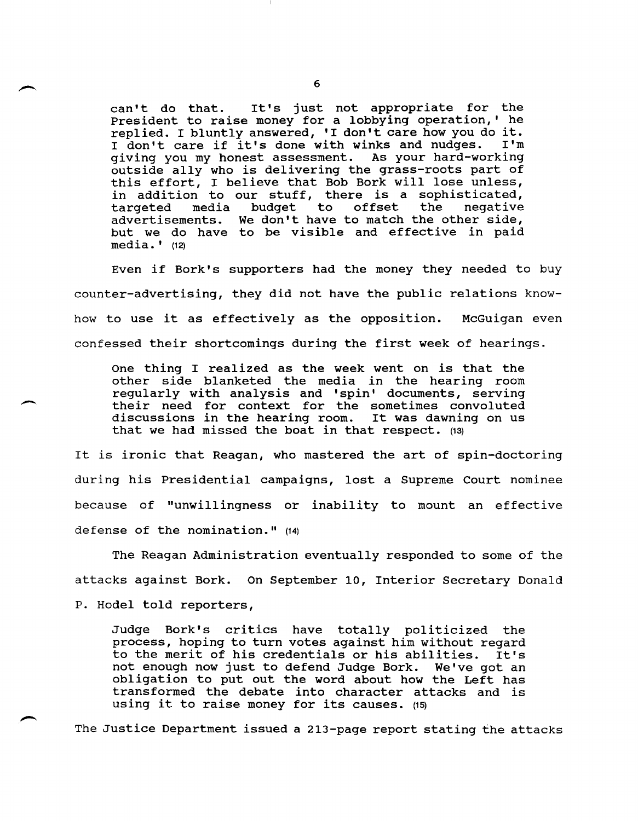can't do that. It's just not appropriate for the President to raise money for a lobbying operation,' he replied. I bluntly answered, 'I don't care how you do it.<br>I don't care if it's done with winks and nudges. I'm I don't care if it's done with winks and nudges. giving you my honest assessment. As your hard-working outside ally who is delivering the grass-roots part of this effort, I believe that Bob Bork will lose unless, in addition to our stuff, there is a sophisticated, targeted media budget to offset the negative targeted media budget to offset the negative<br>advertisements. We don't have to match the other side, but we do have to be visible and effective in paid media.' (12)

Even if Bork's supporters had the money they needed to buy counter-advertising, they did not have the public relations knowhow to use it as effectively as the opposition. McGuigan even confessed their shortcomings during the first week of hearings.

One thing I realized as the week went on is that the other side blanketed the media in the hearing room regularly with analysis and 'spin' documents, serving their need for context for the sometimes convoluted discussions in the hearing room. It was dawning on us that we had missed the boat in that respect. (13)

It is ironic that Reagan, who mastered the art of spin-doctoring during his Presidential campaigns, lost a Supreme Court nominee because of "unwillingness or inability to mount an effective defense of the nomination." (14)

The Reagan Administration eventually responded to some of the attacks against Bork. On September 10, Interior Secretary Donald P. Hodel told reporters,

Judge Bork's critics have totally politicized the process, hoping to turn votes against him without regard to the merit of his credentials or his abilities. It's not enough now just to defend Judge Bork. We've got an obligation to put out the word about how the Left has transformed the debate into character attacks and is using it to raise money for its causes.  $(15)$ 

The Justice Department issued a 213-page report stating the attacks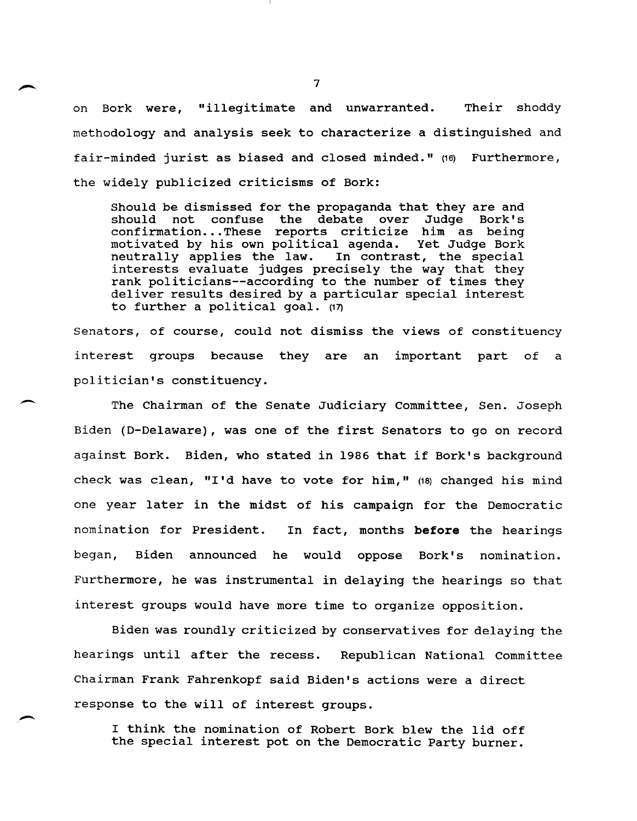on Bork were, "illegitimate and unwarranted. Their shoddy methodology and analysis seek to characterize a distinguished and fair-minded jurist as biased and closed minded." (16) Furthermore, the widely publicized criticisms of Bork:

Should be dismissed for the propaganda that they are and debate over confirmation... These reports criticize him as being<br>motivated by his own political agenda. Yet Judge Bork motivated by his own political agenda. moderator my new own portrious agencies to campo been interests evaluate judges precisely the way that they rank politicians--according to the number of times they deliver results desired by a particular special interest to further a political goal. (17)

Senators, of course, could not dismiss the views of constituency interest groups because they are an important part of a politician's constituency.

 $\overline{\phantom{0}}$ 

 $\overline{\phantom{0}}$ 

The Chairman of the Senate Judiciary Committee, Sen. Joseph Biden (D-Delaware), was one of the first Senators to go on record against Bork. Biden, who stated in 1986 that if Bork's background check was clean, "I'd have to vote for him,"  $(18)$  changed his mind one year later in the midst of his campaign for the Democratic nomination for President. In fact, months **before** the hearings began, Biden announced he would oppose Bork's nomination. Furthermore, he was instrumental in delaying the hearings so that interest groups would have more time to organize opposition.

Biden was roundly criticized by conservatives for delaying the hearings until after the recess. Republican National Committee Chairman Frank Fahrenkopf said Biden's actions were a direct response to the will of interest groups.

I think the nomination of Robert Bork blew the lid off the special interest pot on the Democratic Party burner.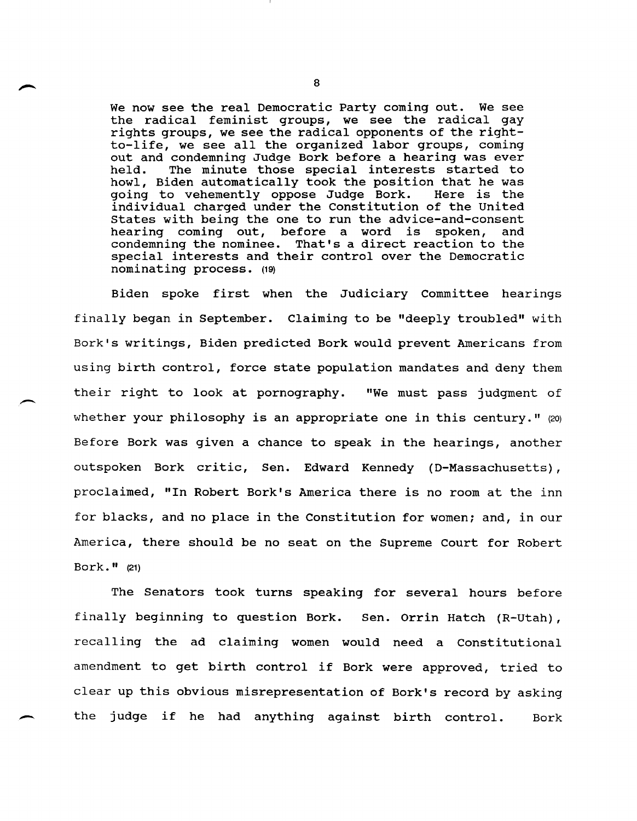We now see the real Democratic Party coming out. We see the radical feminist groups, we see the radical gay rights groups, we see the radical opponents of the rightto-life, we see all the organized labor groups, coming out and condemning Judge Bork before a hearing was ever<br>held. The minute those special interests started to The minute those special interests started to howl, Biden automatically took the position that he was going to vehemently oppose Judge Bork. Here is the going to vehemently oppose Judge Bork. individual charged under the constitution of the united states with being the one to run the advice-and-consent hearing coming out, before a word is spoken, and condemning the nominee. That's a direct reaction to the special interests and their control over the Democratic nominating process. (19)

Biden spoke first when the Judiciary committee hearings finally began in September. Claiming to be "deeply troubled" with Bork's writings, Biden predicted Bork would prevent Americans from using birth control, force state population mandates and deny them their right to look at pornography. "We must pass judgment of whether your philosophy is an appropriate one in this century." (20) Before Bork was given a chance to speak in the hearings, another outspoken Bork critic, Sen. Edward Kennedy (D-Massachusetts), proclaimed, "In Robert Bork's America there is no room at the inn for blacks, and no place in the Constitution for women; and, in our America, there should be no seat on the Supreme Court for Robert Bork." (21)

The Senators took turns speaking for several hours before finally beginning to question Bork. Sen. Orrin Hatch (R-Utah), recalling the ad claiming women would need a Constitutional amendment to get birth control if Bork were approved, tried to clear up this obvious misrepresentation of Bork's record by asking the judge if he had anything against birth control. Bork

 $\overline{\phantom{0}}$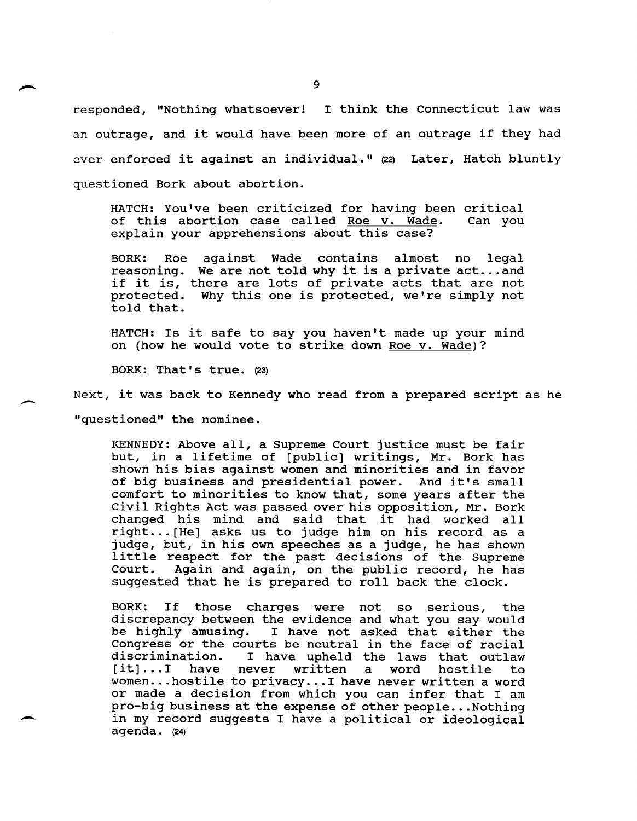responded, "Nothing whatsoever! I think the Connecticut law was an outrage, and it would have been more of an outrage if they had ever enforced it against an individual." (22) Later, Hatch bluntly questioned Bork about abortion.

HATCH: You've been criticized for having been critical of this abortion case called Roe v. Wade. explain your apprehensions about this case?

BORK: Roe BORK: Roe against wade contains aimost no legal<br>reasoning. We are not told why it is a private act...and reasoning. We are not told why it is a private act...and<br>if it is, there are lots of private acts that are not protected. told that. against Wade contains almost no legal Why this one is protected, we're simply not

HATCH: Is it safe to say you haven't made up your mind on (how he would vote to strike down Roe v. Wade)?

BORK: That's true. (23)

.-

 $\overline{\phantom{0}}$ Next, it was back to Kennedy who read from a prepared script as he "questioned" the nominee.

> KENNEDY: Above all, a Supreme Court justice must be fair but, in a lifetime of [public] writings, Mr. Bork has shown his bias against women and minorities and in favor of big business and presidential power. And it's small comfort to minorities to know that, some years after the civil Rights Act was passed over his opposition, Mr. Bork changed his mind and said that it had worked all right ... [He] asks us to judge him on his record as a judge, but, in his own speeches as a judge, he has shown little respect for the past decisions of the Supreme Again and again, on the public record, he has suggested that he is prepared to roll back the clock.

> BORK: If those charges were not so serious, the discrepancy between the evidence and what you say would<br>be highly amusing. I have not asked that either the I have not asked that either the Congress or the courts be neutral in the face of racial<br>discrimination. I have upheld the laws that outlaw discrimination. I have upheld the laws that outlaw discrimination. I have upherd the laws that outlaw<br>[it]...I have never written a word hostile to [it]...I have never written a word hostile to<br>women...hostile to privacy...I have never written a word or made a decision from which you can infer that I am pro-big business at the expense of other people ... Nothing in my record suggests I have a political or ideological agenda. (24)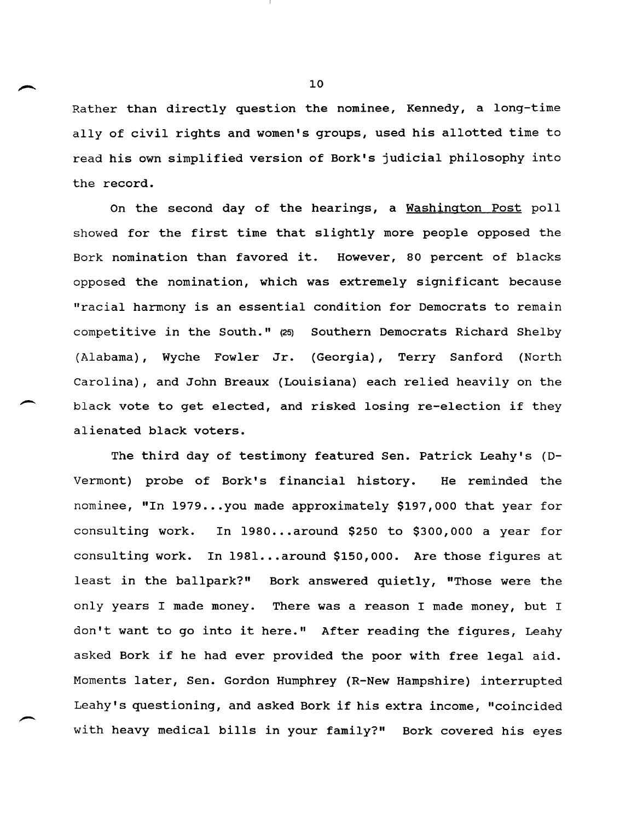Rather than directly question the nominee, Kennedy, a long-time ally of civil rights and women's groups, used his allotted time to read his own simplified version of Bork's judicial philosophy into the record.

On the second day of the hearings, a Washington Post poll showed for the first time that slightly more people opposed the Bork nomination than favored it. However, 80 percent of blacks opposed the nomination, which was extremely significant because "racial harmony is an essential condition for Democrats to remain competitive in the South." (25) Southern Democrats Richard Shelby (Alabama), Wyche Fowler Jr. (Georgia), Terry Sanford (North Carolina), and John Breaux (Louisiana) each relied heavily on the black vote to get elected, and risked losing re-election if they alienated black voters.

The third day of testimony featured Sen. Patrick Leahy's (D-Vermont) probe of Bork's financial history. He reminded the nominee, "In 1979...you made approximately \$197,000 that year for consulting work. In 1980...around \$250 to \$300,000 a year for consulting work. In 1981 ... around \$150,000. Are those figures at least in the ballpark?" Bork answered quietly, "Those were the only years I made money. There was a reason I made money, but I don't want to go into it here." After reading the figures, Leahy asked Bork if he had ever provided the poor with free legal aid. Moments later, Sen. Gordon Humphrey (R-New Hampshire) interrupted Leahy's questioning, and asked Bork if his extra income, "coincided with heavy medical bills in your family?" Bork covered his eyes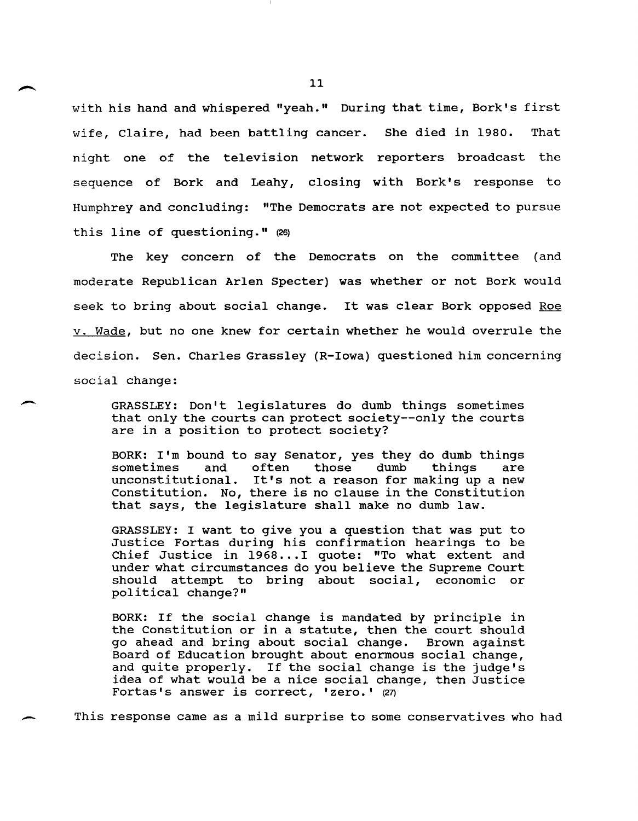with his hand and whispered "yeah." During that time, Bork's first wife, Claire, had been battling cancer. She died in 1980. That night one of the television network reporters broadcast the sequence of Bork and Leahy, closing with Bork's response to Humphrey and concluding: "The Democrats are not expected to pursue this line of questioning." (26)

The key concern of the Democrats on the committee (and moderate Republican Arlen Specter) was whether or not Bork would seek to bring about social change. It was clear Bork opposed Roe v. Wade, but no one knew for certain whether he would overrule the decision. Sen. Charles Grassley (R-Iowa) questioned him concerning social change:

GRASSLEY: Don't legislatures do dumb things sometimes that only the courts can protect society--only the courts are in a position to protect society?

 $\overline{\phantom{0}}$ 

BORK: I'm bound to say Senator, yes they do dumb things sometimes and often those dumb things are unconstitutional. It's not a reason for making up a new Constitution. No, there is no clause in the Constitution that says, the legislature shall make no dumb law.

GRASSLEY: I want to give you a question that was put to Justice Fortas during his confirmation hearings to be Chief Justice in 1968 ... I quote: "To what extent and under what circumstances do you believe the Supreme Court should attempt to bring about social, economic or political change?"

BORK: If the social change is mandated by principle in the Constitution or in a statute, then the court should<br>go ahead and bring about social change. Brown against go ahead and bring about social change. Board of Education brought about enormous social change, and quite properly. If the social change is the judge's idea of what would be a nice social change, then Justice Fortas's answer is correct, 'zero.' (27)

This response came as a mild surprise to some conservatives who had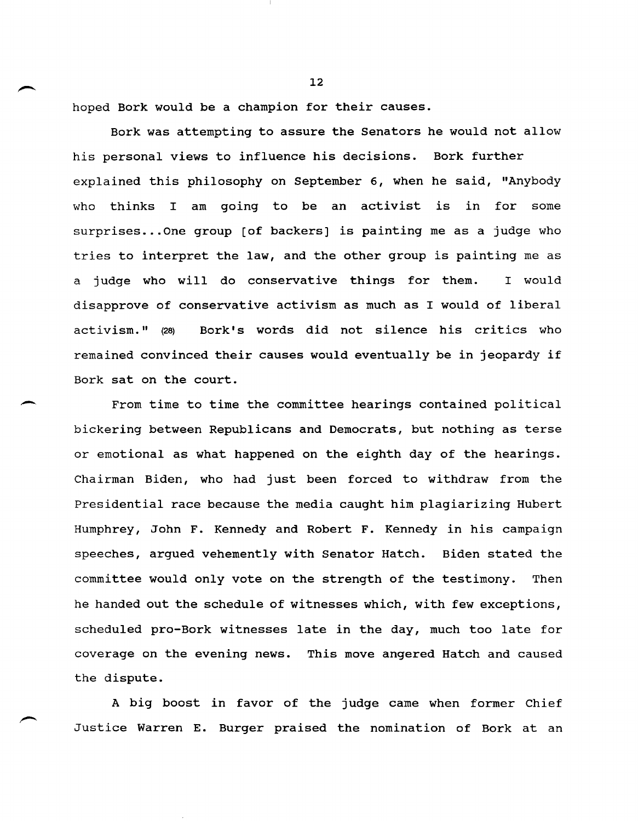hoped Bork would be a champion for their causes.

 $\overline{\phantom{a}}$ 

Bork was attempting to assure the Senators he would not allow his personal views to influence his decisions. Bork further explained this philosophy on September 6, when he said, "Anybody who thinks I am going to be an activist is in for some surprises... One group [of backers] is painting me as a judge who tries to interpret the law, and the other group is painting me as a judge who will do conservative things for them. I would disapprove of conservative activism as much as I would of liberal activism." (28) Bork's words did not silence his critics who remained convinced their causes would eventually be in jeopardy if Bork sat on the court.

From time to time the committee hearings contained political bickering between Republicans and Democrats, but nothing as terse or emotional as what happened on the eighth day of the hearings. Chairman Biden, who had just been forced to withdraw from the Presidential race because the media caught him plagiarizing Hubert Humphrey, John F. Kennedy and Robert F. Kennedy in his campaign speeches, argued vehemently with Senator Hatch. Biden stated the committee would only vote on the strength of the testimony. Then he handed out the schedule of witnesses which, with few exceptions, scheduled pro-Bork witnesses late in the day, much too late for coverage on the evening news. This move angered Hatch and caused the dispute.

A big boost in favor of the judge came when former Chief Justice Warren E. Burger praised the nomination of Bork at an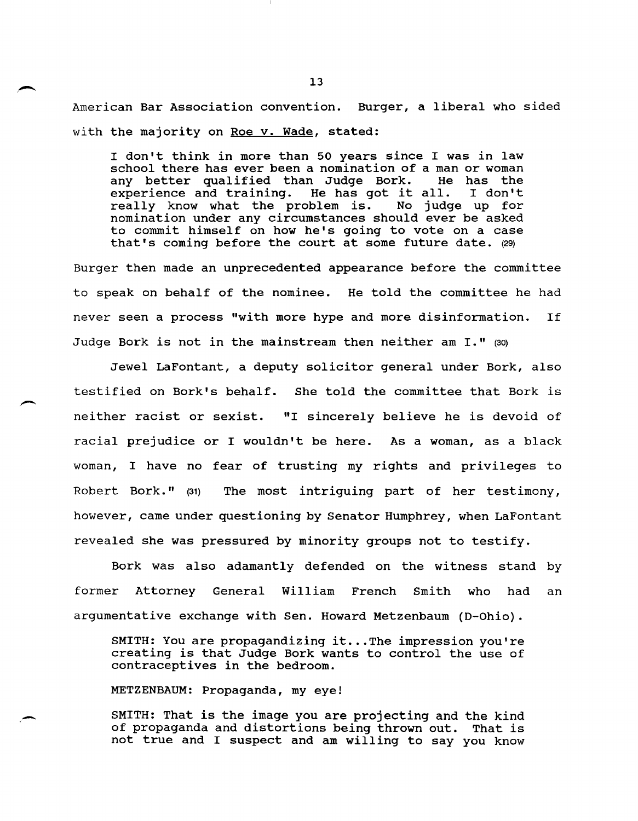American Bar Association convention. Burger, a liberal who sided with the majority on Roe v. Wade, stated:

I don't think in more than 50 years since I was in law school there has ever been a nomination of a man or woman<br>any better qualified than Judge Bork. He has the any better qualified than Judge Bork. He has the any becter qualified than Judge Bork. He has the<br>experience and training. He has got it all. I don't experience and training. He has got it all. I don't<br>really know what the problem is. No judge up for nomination under any circumstances should ever be asked to commit himself on how he's going to vote on a case that's coming before the court at some future date. (29)

Burger then made an unprecedented appearance before the committee to speak on behalf of the nominee. He told the committee he had never seen a process "with more hype and more disinformation. If Judge Bork is not in the mainstream then neither am I." (30)

Jewel LaFontant, a deputy solicitor general under Bork, also testified on Bork's behalf. She told the committee that Bork is neither racist or sexist. "I sincerely believe he is devoid of racial prejudice or I wouldn't be here. As a woman, as a black woman, I have no fear of trusting my rights and privileges to Robert Bork." (31) The most intriguing part of her testimony, however, came under questioning by Senator Humphrey, when LaFontant revealed she was pressured by minority groups not to testify.

Bork was also adamantly defended on the witness stand by former Attorney General William French Smith who had an argumentative exchange with Sen. Howard Metzenbaum (D-Ohio).

SMITH: You are propagandizing it ... The impression you're creating is that Judge Bork wants to control the use of contraceptives in the bedroom.

METZENBAUM: Propaganda, my eye!

SMITH: That is the image you are projecting and the kind of propaganda and distortions being thrown out. That is not true and I suspect and am willing to say you know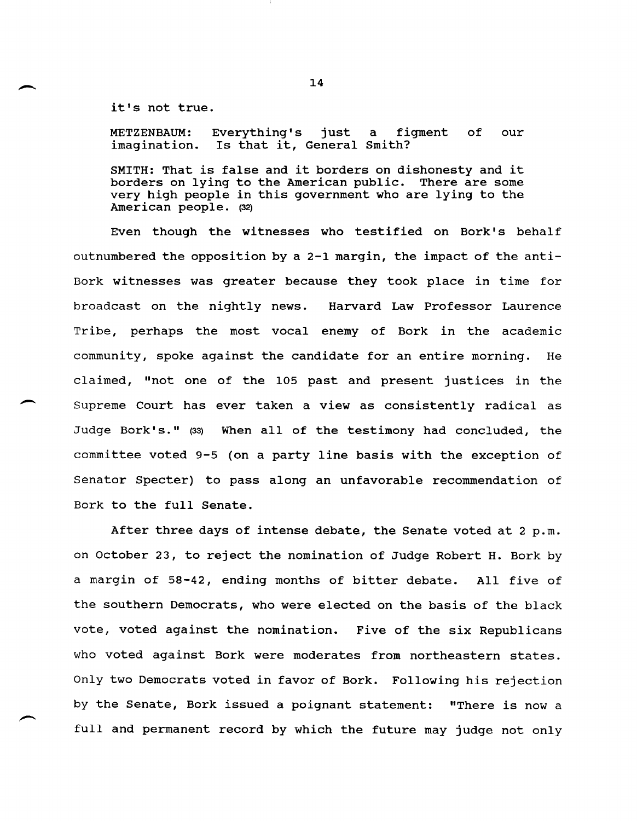it's not true.

 $\overline{\phantom{a}}$ 

METZENBAUM: imagination. Is that it, General smith? Everything's just a figment of our

SMITH: That is false and it borders on dishonesty and it borders on lying to the American public. There are some very high people in this government who are lying to the American people. (32)

Even though the witnesses who testified on Bork's behalf outnumbered the opposition by a 2-1 margin, the impact of the anti-Bork witnesses was greater because they took place in time for broadcast on the nightly news. Harvard Law Professor Laurence Tribe, perhaps the most vocal enemy of Bork in the academic community, spoke against the candidate for an entire morning. He claimed, "not one of the 105 past and present justices in the Supreme Court has ever taken a view as consistently radical as Judge Bork's." (33) When all of the testimony had concluded, the committee voted 9-5 (on a party line basis with the exception of Senator Specter) to pass along an unfavorable recommendation of Bork to the full Senate.

After three days of intense debate, the Senate voted at 2 p.m. on October 23, to reject the nomination of Judge Robert H. Bork by a margin of 58-42, ending months of bitter debate. All five of the southern Democrats, who were elected on the basis of the black vote, voted against the nomination. Five of the six Republicans who voted against Bork were moderates from northeastern states. Only two Democrats voted in favor of Bork. Following his rejection by the Senate, Bork issued a poignant statement: "There is now a full and permanent record by which the future may judge not only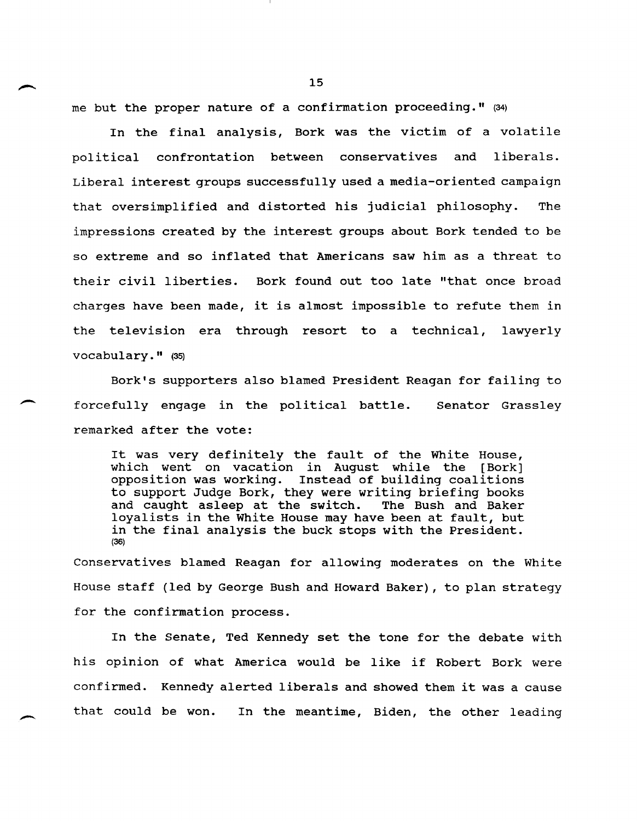me but the proper nature of a confirmation proceeding." (34)

In the final analysis, Bork was the victim of a volatile political confrontation between conservatives and liberals. Liberal interest groups successfully used a media-oriented campaign that oversimplified and distorted his judicial philosophy. The impressions created by the interest groups about Bork tended to be so extreme and so inflated that Americans saw him as a threat to their civil liberties. Bork found out too late "that once broad charges have been made, it is almost impossible to refute them in the television era through resort to a technical, lawyerly vocabulary." (35)

Bork's supporters also blamed President Reagan for failing to forcefully engage in the political battle. Senator Grassley remarked after the vote:

 $\overline{\phantom{0}}$ 

 $\overline{\phantom{0}}$ 

It was very definitely the fault of the White House, which went on vacation in August while the [Bork] opposition was working. Instead of building coalitions to support Judge Bork, they were writing briefing books and caught asleep at the switch. The Bush and Baker and caught asleep at the switch. loyalists in the White House may have been at fault, but in the final analysis the buck stops with the President. (36)

Conservatives blamed Reagan for allowing moderates on the White House staff (led by George Bush and Howard Baker), to plan strategy for the confirmation process.

In the Senate, Ted Kennedy set the tone for the debate with his opinion of what America would be like if Robert Bork were confirmed. Kennedy alerted liberals and showed them it was a cause that could be won. In the meantime, Biden, the other leading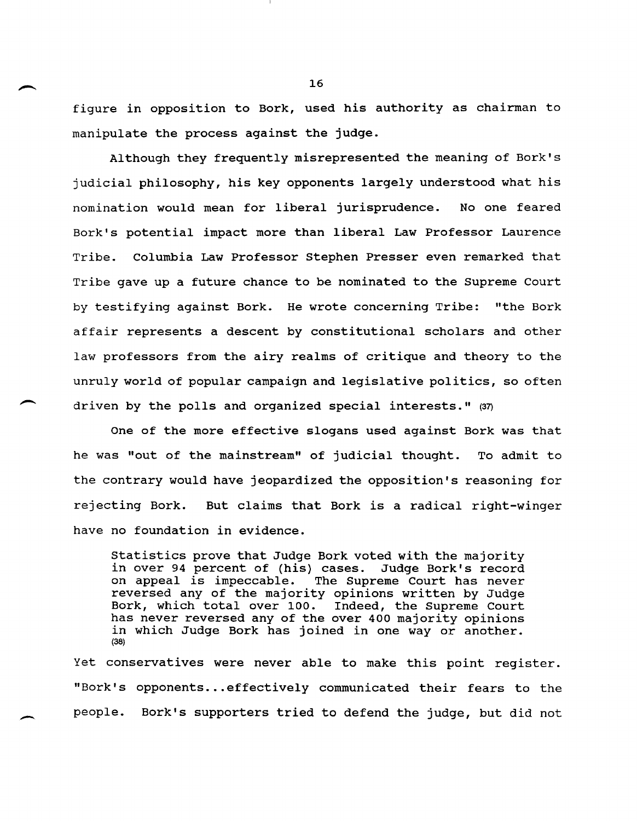figure in opposition to Bork, used his authority as chairman to manipulate the process against the judge.

Although they frequently misrepresented the meaning of Bork's judicial philosophy, his key opponents largely understood what his nomination would mean for liberal jurisprudence. No one feared Bork's potential impact more than liberal Law Professor Laurence Tribe. Columbia Law Professor Stephen Presser even remarked that Tribe gave up a future chance to be nominated to the Supreme Court by testifying against Bork. He wrote concerning Tribe: "the Bork affair represents a descent by constitutional scholars and other law professors from the airy realms of critique and theory to the unruly world of popular campaign and legislative politics, so often driven by the polls and organized special interests." (37)

One of the more effective slogans used against Bork was that he was "out of the mainstream" of judicial thought. To admit to the contrary would have jeopardized the opposition's reasoning for rejecting Bork. But claims that Bork is a radical right-winger have no foundation in evidence.

Statistics prove that Judge Bork voted with the majority in over 94 percent of (his) cases. Judge Bork's record<br>on appeal is impeccable. The Supreme Court has never The Supreme Court has never reversed any of the majority opinions written by Judge Bork, which total over 100. Indeed, the Supreme Court has never reversed any of the over 400 majority opinions in which Judge Bork has joined in one way or another. (38)

Yet conservatives were never able to make this point register. "Bark's opponents ... effectively communicated their fears to the people. Bork's supporters tried to defend the judge, but did not

 $\overline{\phantom{0}}$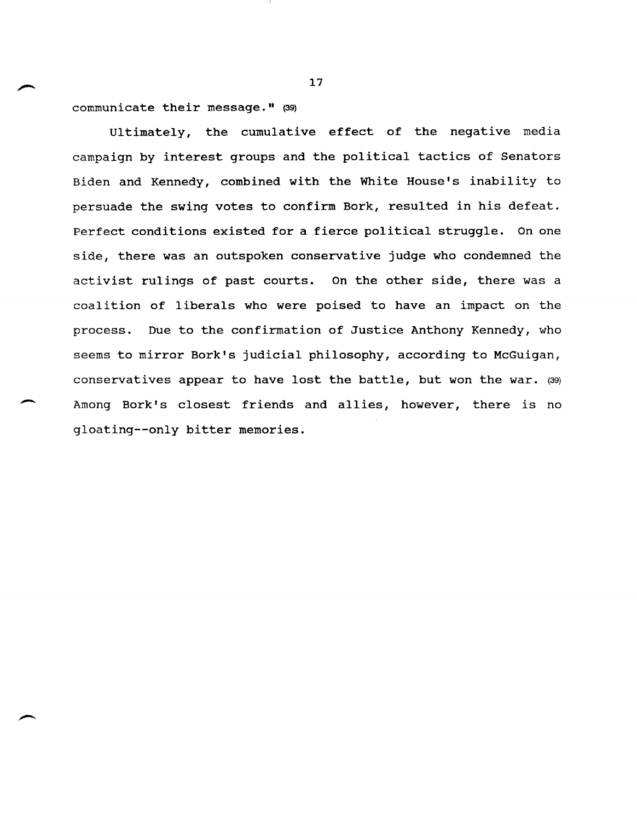communicate their message." (39)

Ultimately, the cumulative effect of the negative media campaign by interest groups and the political tactics of Senators Biden and Kennedy, combined with the White House's inability to persuade the swing votes to confirm Bork, resulted in his defeat. Perfect conditions existed for a fierce political struggle. On one side, there was an outspoken conservative judge who condemned the activist rulings of past courts. On the other side, there was a coalition of liberals who were poised to have an impact on the process. Due to the confirmation of Justice Anthony Kennedy, who seems to mirror Bork's judicial philosophy, according to McGuigan, conservatives appear to have lost the battle, but won the war. (39) Among Bork's closest friends and allies, however, there is no gloating--only bitter memories.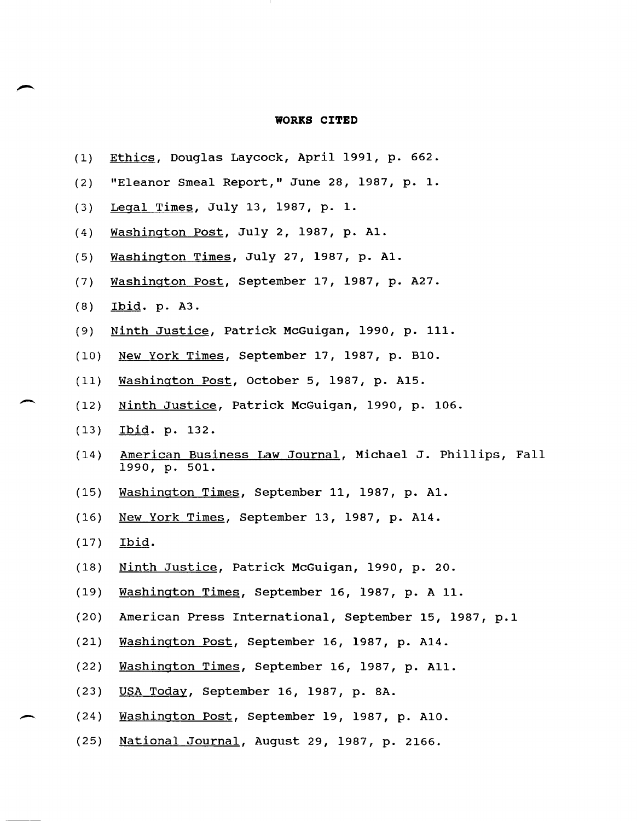## **WORKS CITED**

- 11

| (1)  | Ethics, Douglas Laycock, April 1991, p. 662.                              |
|------|---------------------------------------------------------------------------|
| (2)  | "Eleanor Smeal Report," June 28, 1987, p. 1.                              |
| (3)  | Legal Times, July 13, 1987, p. 1.                                         |
| (4)  | Washington Post, July 2, 1987, p. Al.                                     |
| (5)  | Washington Times, July 27, 1987, p. Al.                                   |
| (7)  | Washington Post, September 17, 1987, p. A27.                              |
| (8)  | Ibid. p. A3.                                                              |
| (9)  | Ninth Justice, Patrick McGuigan, 1990, p. 111.                            |
| (10) | New York Times, September 17, 1987, p. B10.                               |
| (11) | Washington Post, October 5, 1987, p. A15.                                 |
| (12) | Ninth Justice, Patrick McGuigan, 1990, p. 106.                            |
| (13) | Ibid. p. 132.                                                             |
| (14) | American Business Law Journal, Michael J. Phillips, Fall<br>1990, p. 501. |
| (15) | Washington Times, September 11, 1987, p. A1.                              |
| (16) | New York Times, September 13, 1987, p. A14.                               |
| (17) | Ibid.                                                                     |
| (18) | Ninth Justice, Patrick McGuigan, 1990, p. 20.                             |
| (19) | Washington Times, September 16, 1987, p. A 11.                            |
| (20) | American Press International, September 15, 1987, p.1                     |
| (21) | Washington Post, September 16, 1987, p. A14.                              |
| (22) | Washington Times, September 16, 1987, p. All.                             |
| (23) | USA Today, September 16, 1987, p. 8A.                                     |
| (24) | Washington Post, September 19, 1987, p. A10.                              |
| (25) | National Journal, August 29, 1987, p. 2166.                               |